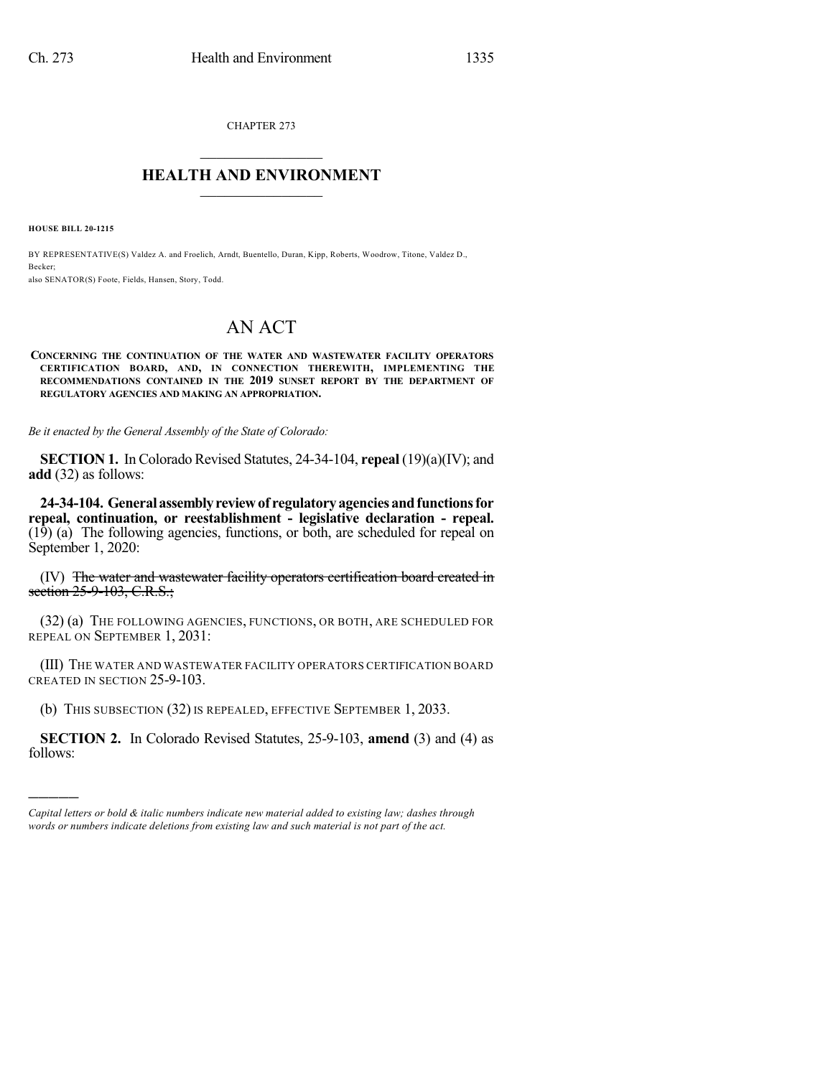CHAPTER 273  $\overline{\phantom{a}}$  . The set of the set of the set of the set of the set of the set of the set of the set of the set of the set of the set of the set of the set of the set of the set of the set of the set of the set of the set o

## **HEALTH AND ENVIRONMENT**  $\_$

**HOUSE BILL 20-1215**

)))))

BY REPRESENTATIVE(S) Valdez A. and Froelich, Arndt, Buentello, Duran, Kipp, Roberts, Woodrow, Titone, Valdez D., Becker; also SENATOR(S) Foote, Fields, Hansen, Story, Todd.

## AN ACT

## **CONCERNING THE CONTINUATION OF THE WATER AND WASTEWATER FACILITY OPERATORS CERTIFICATION BOARD, AND, IN CONNECTION THEREWITH, IMPLEMENTING THE RECOMMENDATIONS CONTAINED IN THE 2019 SUNSET REPORT BY THE DEPARTMENT OF REGULATORY AGENCIES AND MAKING AN APPROPRIATION.**

*Be it enacted by the General Assembly of the State of Colorado:*

**SECTION 1.** In Colorado Revised Statutes, 24-34-104, **repeal** (19)(a)(IV); and **add** (32) as follows:

**24-34-104. Generalassemblyreviewof regulatoryagenciesandfunctionsfor repeal, continuation, or reestablishment - legislative declaration - repeal.** (19) (a) The following agencies, functions, or both, are scheduled for repeal on September 1, 2020:

(IV) The water and wastewater facility operators certification board created in section 25-9-103, C.R.S.;

(32) (a) THE FOLLOWING AGENCIES, FUNCTIONS, OR BOTH, ARE SCHEDULED FOR REPEAL ON SEPTEMBER 1, 2031:

(III) THE WATER AND WASTEWATER FACILITY OPERATORS CERTIFICATION BOARD CREATED IN SECTION 25-9-103.

(b) THIS SUBSECTION (32) IS REPEALED, EFFECTIVE SEPTEMBER 1, 2033.

**SECTION 2.** In Colorado Revised Statutes, 25-9-103, **amend** (3) and (4) as follows:

*Capital letters or bold & italic numbers indicate new material added to existing law; dashes through words or numbers indicate deletions from existing law and such material is not part of the act.*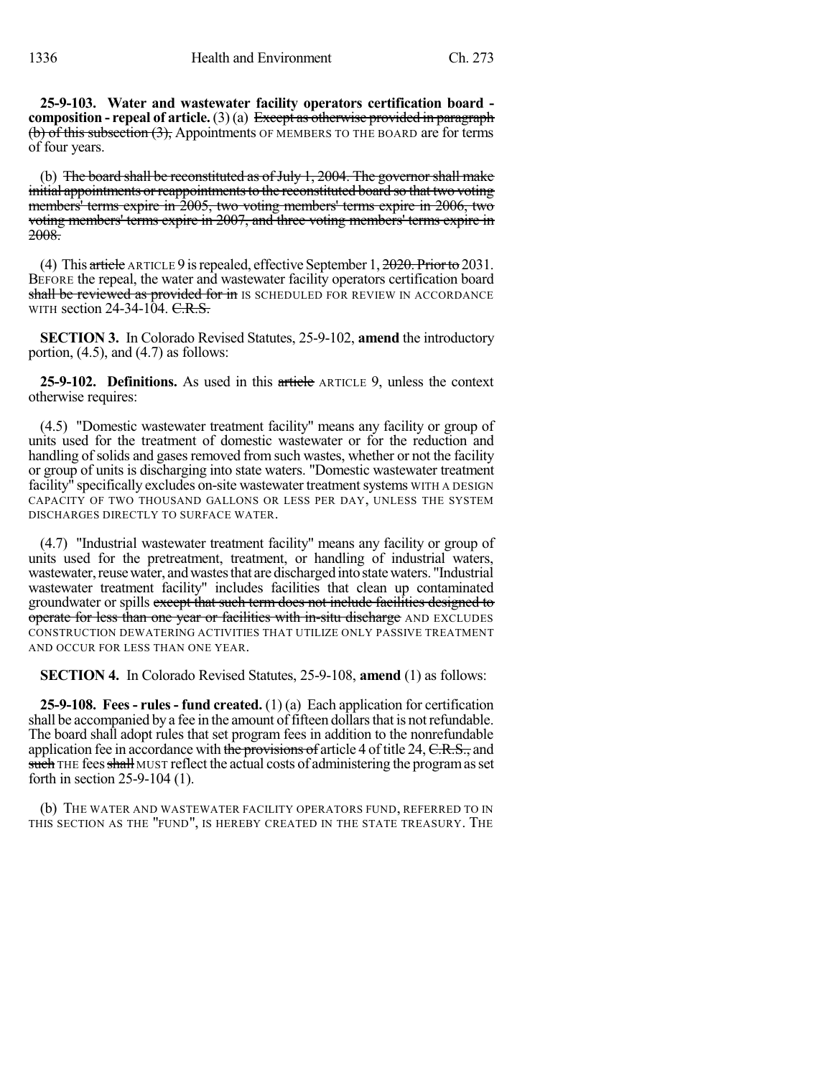**25-9-103. Water and wastewater facility operators certification board composition - repeal of article.** (3) (a) Except as otherwise provided in paragraph (b) of this subsection (3), Appointments OF MEMBERS TO THE BOARD are for terms of four years.

(b) The board shall be reconstituted as of July 1, 2004. The governor shall make initial appointments or reappointments to the reconstituted board so that two voting members' terms expire in 2005, two voting members' terms expire in 2006, two voting members' terms expire in 2007, and three voting members' terms expire in  $2008$ .

(4) This article ARTICLE 9 is repealed, effective September 1,  $2020$ . Prior to 2031. BEFORE the repeal, the water and wastewater facility operators certification board shall be reviewed as provided for in IS SCHEDULED FOR REVIEW IN ACCORDANCE WITH section  $24-34-104$ . C.R.S.

**SECTION 3.** In Colorado Revised Statutes, 25-9-102, **amend** the introductory portion,  $(4.5)$ , and  $(4.7)$  as follows:

**25-9-102. Definitions.** As used in this article ARTICLE 9, unless the context otherwise requires:

(4.5) "Domestic wastewater treatment facility" means any facility or group of units used for the treatment of domestic wastewater or for the reduction and handling of solids and gases removed from such wastes, whether or not the facility or group of units is discharging into state waters. "Domestic wastewater treatment facility<sup>"</sup> specifically excludes on-site wastewater treatment systems WITH A DESIGN CAPACITY OF TWO THOUSAND GALLONS OR LESS PER DAY, UNLESS THE SYSTEM DISCHARGES DIRECTLY TO SURFACE WATER.

(4.7) "Industrial wastewater treatment facility" means any facility or group of units used for the pretreatment, treatment, or handling of industrial waters, wastewater, reuse water, and wastes that are discharged into state waters. "Industrial wastewater treatment facility" includes facilities that clean up contaminated groundwater or spills except that such term does not include facilities designed to operate for less than one year or facilities with in-situ discharge AND EXCLUDES CONSTRUCTION DEWATERING ACTIVITIES THAT UTILIZE ONLY PASSIVE TREATMENT AND OCCUR FOR LESS THAN ONE YEAR.

**SECTION 4.** In Colorado Revised Statutes, 25-9-108, **amend** (1) as follows:

**25-9-108. Fees- rules- fund created.** (1) (a) Each application for certification shall be accompanied by a fee in the amount of fifteen dollars that is not refundable. The board shall adopt rules that set program fees in addition to the nonrefundable application fee in accordance with the provisions of article 4 of title 24, C.R.S., and such THE fees shall MUST reflect the actual costs of administering the program as set forth in section 25-9-104 (1).

(b) THE WATER AND WASTEWATER FACILITY OPERATORS FUND, REFERRED TO IN THIS SECTION AS THE "FUND", IS HEREBY CREATED IN THE STATE TREASURY. THE